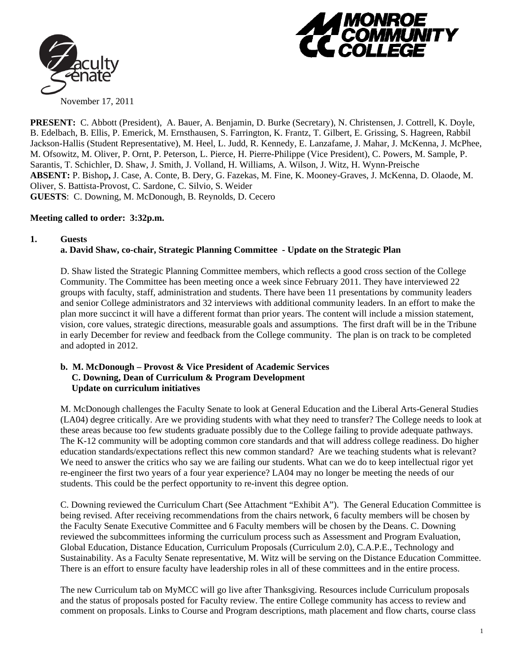



**PRESENT:** C. Abbott (President), A. Bauer, A. Benjamin, D. Burke (Secretary), N. Christensen, J. Cottrell, K. Doyle, B. Edelbach, B. Ellis, P. Emerick, M. Ernsthausen, S. Farrington, K. Frantz, T. Gilbert, E. Grissing, S. Hagreen, Rabbil Jackson-Hallis (Student Representative), M. Heel, L. Judd, R. Kennedy, E. Lanzafame, J. Mahar, J. McKenna, J. McPhee, M. Ofsowitz, M. Oliver, P. Ornt, P. Peterson, L. Pierce, H. Pierre-Philippe (Vice President), C. Powers, M. Sample, P. Sarantis, T. Schichler, D. Shaw, J. Smith, J. Volland, H. Williams, A. Wilson, J. Witz, H. Wynn-Preische **ABSENT:** P. Bishop**,** J. Case, A. Conte, B. Dery, G. Fazekas, M. Fine, K. Mooney-Graves, J. McKenna, D. Olaode, M. Oliver, S. Battista-Provost, C. Sardone, C. Silvio, S. Weider **GUESTS**: C. Downing, M. McDonough, B. Reynolds, D. Cecero

### **Meeting called to order: 3:32p.m.**

#### **1. Guests**

#### **a. David Shaw, co-chair, Strategic Planning Committee - Update on the Strategic Plan**

D. Shaw listed the Strategic Planning Committee members, which reflects a good cross section of the College Community. The Committee has been meeting once a week since February 2011. They have interviewed 22 groups with faculty, staff, administration and students. There have been 11 presentations by community leaders and senior College administrators and 32 interviews with additional community leaders. In an effort to make the plan more succinct it will have a different format than prior years. The content will include a mission statement, vision, core values, strategic directions, measurable goals and assumptions. The first draft will be in the Tribune in early December for review and feedback from the College community. The plan is on track to be completed and adopted in 2012.

#### **b. M. McDonough – Provost & Vice President of Academic Services C. Downing, Dean of Curriculum & Program Development Update on curriculum initiatives**

M. McDonough challenges the Faculty Senate to look at General Education and the Liberal Arts-General Studies (LA04) degree critically. Are we providing students with what they need to transfer? The College needs to look at these areas because too few students graduate possibly due to the College failing to provide adequate pathways. The K-12 community will be adopting common core standards and that will address college readiness. Do higher education standards/expectations reflect this new common standard? Are we teaching students what is relevant? We need to answer the critics who say we are failing our students. What can we do to keep intellectual rigor yet re-engineer the first two years of a four year experience? LA04 may no longer be meeting the needs of our students. This could be the perfect opportunity to re-invent this degree option.

C. Downing reviewed the Curriculum Chart (See Attachment "Exhibit A"). The General Education Committee is being revised. After receiving recommendations from the chairs network, 6 faculty members will be chosen by the Faculty Senate Executive Committee and 6 Faculty members will be chosen by the Deans. C. Downing reviewed the subcommittees informing the curriculum process such as Assessment and Program Evaluation, Global Education, Distance Education, Curriculum Proposals (Curriculum 2.0), C.A.P.E., Technology and Sustainability. As a Faculty Senate representative, M. Witz will be serving on the Distance Education Committee. There is an effort to ensure faculty have leadership roles in all of these committees and in the entire process.

The new Curriculum tab on MyMCC will go live after Thanksgiving. Resources include Curriculum proposals and the status of proposals posted for Faculty review. The entire College community has access to review and comment on proposals. Links to Course and Program descriptions, math placement and flow charts, course class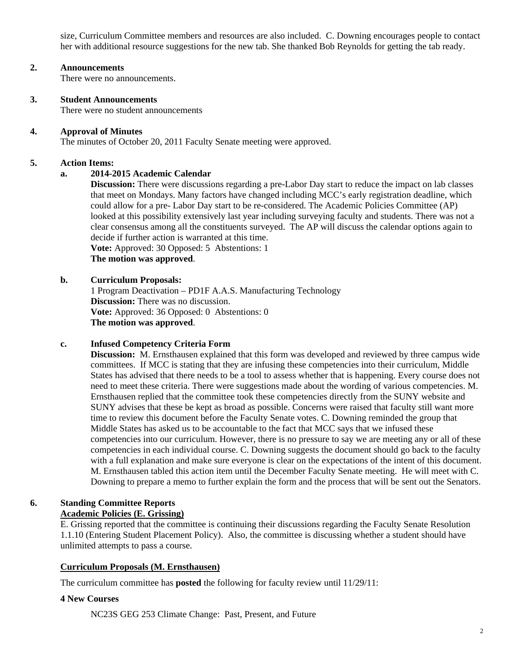size, Curriculum Committee members and resources are also included. C. Downing encourages people to contact her with additional resource suggestions for the new tab. She thanked Bob Reynolds for getting the tab ready.

### **2. Announcements**

There were no announcements.

#### **3. Student Announcements**

There were no student announcements

### **4. Approval of Minutes**

The minutes of October 20, 2011 Faculty Senate meeting were approved.

### **5. Action Items:**

## **a. 2014-2015 Academic Calendar**

**Discussion:** There were discussions regarding a pre-Labor Day start to reduce the impact on lab classes that meet on Mondays. Many factors have changed including MCC's early registration deadline, which could allow for a pre- Labor Day start to be re-considered. The Academic Policies Committee (AP) looked at this possibility extensively last year including surveying faculty and students. There was not a clear consensus among all the constituents surveyed. The AP will discuss the calendar options again to decide if further action is warranted at this time.

**Vote:** Approved: 30 Opposed: 5 Abstentions: 1

**The motion was approved**.

### **b. Curriculum Proposals:**

 1 Program Deactivation – PD1F A.A.S. Manufacturing Technology  **Discussion:** There was no discussion. **Vote:** Approved: 36 Opposed: 0 Abstentions: 0 **The motion was approved**.

### **c. Infused Competency Criteria Form**

 **Discussion:** M. Ernsthausen explained that this form was developed and reviewed by three campus wide committees. If MCC is stating that they are infusing these competencies into their curriculum, Middle States has advised that there needs to be a tool to assess whether that is happening. Every course does not need to meet these criteria. There were suggestions made about the wording of various competencies. M. Ernsthausen replied that the committee took these competencies directly from the SUNY website and SUNY advises that these be kept as broad as possible. Concerns were raised that faculty still want more time to review this document before the Faculty Senate votes. C. Downing reminded the group that Middle States has asked us to be accountable to the fact that MCC says that we infused these competencies into our curriculum. However, there is no pressure to say we are meeting any or all of these competencies in each individual course. C. Downing suggests the document should go back to the faculty with a full explanation and make sure everyone is clear on the expectations of the intent of this document. M. Ernsthausen tabled this action item until the December Faculty Senate meeting. He will meet with C. Downing to prepare a memo to further explain the form and the process that will be sent out the Senators.

### **6. Standing Committee Reports Academic Policies (E. Grissing)**

E. Grissing reported that the committee is continuing their discussions regarding the Faculty Senate Resolution 1.1.10 (Entering Student Placement Policy). Also, the committee is discussing whether a student should have unlimited attempts to pass a course.

### **Curriculum Proposals (M. Ernsthausen)**

The curriculum committee has **posted** the following for faculty review until 11/29/11:

### **4 New Courses**

NC23S GEG 253 Climate Change: Past, Present, and Future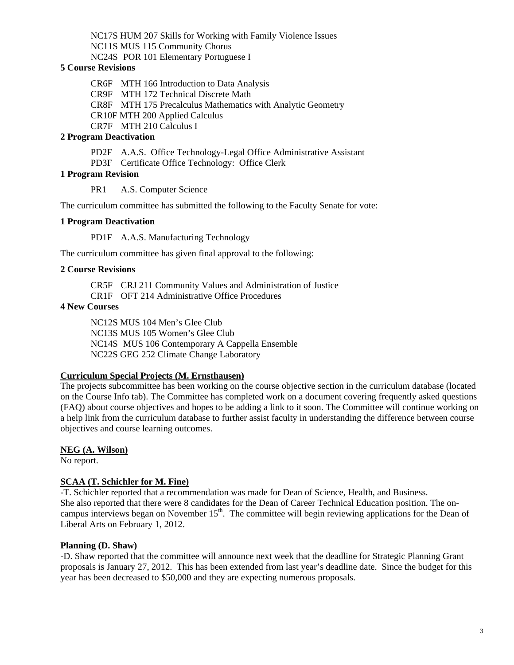NC17S HUM 207 Skills for Working with Family Violence Issues NC11S MUS 115 Community Chorus NC24S POR 101 Elementary Portuguese I

### **5 Course Revisions**

CR6F MTH 166 Introduction to Data Analysis CR9F MTH 172 Technical Discrete Math CR8F MTH 175 Precalculus Mathematics with Analytic Geometry CR10F MTH 200 Applied Calculus CR7F MTH 210 Calculus I

## **2 Program Deactivation**

PD2F A.A.S. Office Technology-Legal Office Administrative Assistant

PD3F Certificate Office Technology: Office Clerk

## **1 Program Revision**

PR1 A.S. Computer Science

The curriculum committee has submitted the following to the Faculty Senate for vote:

### **1 Program Deactivation**

PD1F A.A.S. Manufacturing Technology

The curriculum committee has given final approval to the following:

## **2 Course Revisions**

CR5F CRJ 211 Community Values and Administration of Justice

CR1F OFT 214 Administrative Office Procedures

## **4 New Courses**

 NC12S MUS 104 Men's Glee Club NC13S MUS 105 Women's Glee Club NC14S MUS 106 Contemporary A Cappella Ensemble NC22S GEG 252 Climate Change Laboratory

## **Curriculum Special Projects (M. Ernsthausen)**

The projects subcommittee has been working on the course objective section in the curriculum database (located on the Course Info tab). The Committee has completed work on a document covering frequently asked questions (FAQ) about course objectives and hopes to be adding a link to it soon. The Committee will continue working on a help link from the curriculum database to further assist faculty in understanding the difference between course objectives and course learning outcomes.

## **NEG (A. Wilson)**

No report.

## **SCAA (T. Schichler for M. Fine)**

-T. Schichler reported that a recommendation was made for Dean of Science, Health, and Business. She also reported that there were 8 candidates for the Dean of Career Technical Education position. The oncampus interviews began on November 15<sup>th</sup>. The committee will begin reviewing applications for the Dean of Liberal Arts on February 1, 2012.

## **Planning (D. Shaw)**

-D. Shaw reported that the committee will announce next week that the deadline for Strategic Planning Grant proposals is January 27, 2012. This has been extended from last year's deadline date. Since the budget for this year has been decreased to \$50,000 and they are expecting numerous proposals.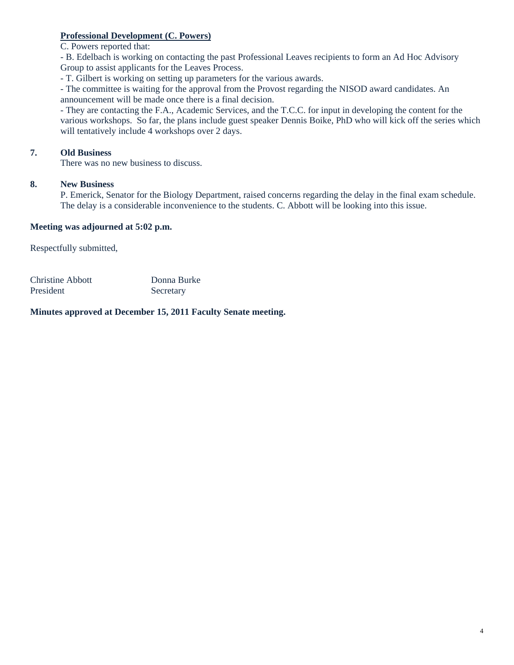## **Professional Development (C. Powers)**

C. Powers reported that:

- B. Edelbach is working on contacting the past Professional Leaves recipients to form an Ad Hoc Advisory Group to assist applicants for the Leaves Process.

- T. Gilbert is working on setting up parameters for the various awards.

- The committee is waiting for the approval from the Provost regarding the NISOD award candidates. An announcement will be made once there is a final decision.

- They are contacting the F.A., Academic Services, and the T.C.C. for input in developing the content for the various workshops. So far, the plans include guest speaker Dennis Boike, PhD who will kick off the series which will tentatively include 4 workshops over 2 days.

# **7. Old Business**

There was no new business to discuss.

## **8. New Business**

P. Emerick, Senator for the Biology Department, raised concerns regarding the delay in the final exam schedule. The delay is a considerable inconvenience to the students. C. Abbott will be looking into this issue.

### **Meeting was adjourned at 5:02 p.m.**

Respectfully submitted,

| Christine Abbott | Donna Burke |
|------------------|-------------|
| President        | Secretary   |

## **Minutes approved at December 15, 2011 Faculty Senate meeting.**